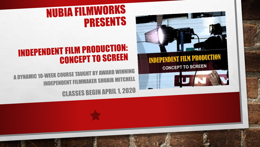



## **NUBIA FILMWORKS PRESENTS**

## **INDEPENDENT FILM PRODUCTION: CONCEPT TO SCREEN**

A DYNAMIC 10-WEEK COURSE TAUGHT BY AWARD WINNING **INDEPENDENT FILMMAKER SHUAIB MITCHELL** 

**CLASSES BEGIN APRIL 1, 2020**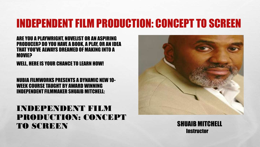#### ARE YOU A PLAYWRIGHT, NOVELIST OR AN ASPIRING PRODUCER? DO YOU HAVE A BOOK, A PLAY, OR AN IDEA THAT YOU'VE ALWAYS DREAMED OF MAKING INTO A **MOVIE?**

WELL, HERE IS YOUR CHANCE TO LEARN HOW!

#### NUBIA FILMWORKS PRESENTS A DYNAMIC NEW 10- WEEK COURSE TAUGHT BY AWARD WINNING INDEPENDENT FILMMAKER SHUAIB MITCHELL:

#### INDEPENDENT FILM PRODUCTION: CONCEPT TO SCREEN SHUAIB MITCHELL



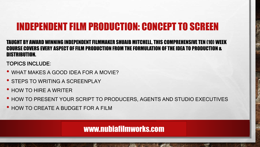#### TAUGHT BY AWARD WINNING INDEPENDENT FILMMAKER SHUAIB MITCHELL, THIS COMPREHENSIVE TEN (10) WEEK COURSE COVERS EVERY ASPECT OF FILM PRODUCTION FROM THE FORMULATION OF THE IDEA TO PRODUCTION & DISTRIBUTION.

TOPICS INCLUDE:

34

- WHAT MAKES A GOOD IDEA FOR A MOVIE?
- **STEPS TO WRITING A SCREENPLAY**
- HOW TO HIRE A WRITER
- HOW TO PRESENT YOUR SCRIPT TO PRODUCERS, AGENTS AND STUDIO EXECUTIVES
- HOW TO CREATE A BUDGET FOR A FILM

www.nubiafilmworks.com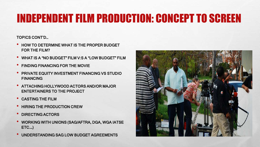TOPICS CONT'D…

- HOW TO DETERMINE WHAT IS THE PROPER BUDGET FOR THE FILM?
- WHAT IS A "NO BUDGET" FILM V:S A "LOW BUDGET" FILM
- FINDING FINANCING FOR THE MOVIE
- PRIVATE EQUITY INVESTMENT FINANCING VS STUDIO FINANCING
- ATTACHING HOLLYWOOD ACTORS AND/OR MAJOR ENTERTAINERS TO THE PROJECT
- CASTING THE FILM
- HIRING THE PRODUCTION CREW
- DIRECTING ACTORS
- WORKING WITH UNIONS (SAG/AFTRA, DGA, WGA IATSE ETC.…)
- UNDERSTANDING SAG LOW BUDGET AGREEMENTS

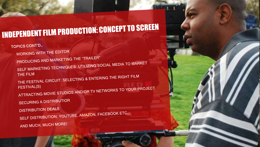- ATTRACTING MOVIE STUDIOS AND/OR TV NETWORKS TO YOUR PROJECT **SECURING A DISTRIBUTIOR DISTRIBUTION DEALS** SELF DISTRIBUTION: YOUTUBE, AMAZON, FACEBOOK ETC... AND MUCH, MUCH MORE!
- **FESTIVAL(S)**
- THE FILM THE FESTIVAL CIRCUIT: SELECTING & ENTERING THE RIGHT FILM
- PRODUCING AND MARKETING THE "TRAILER" SELF MARKETING TECHNIQUES: UTILIZING SOCIAL MEDIA TO MARKET

#### TOPICS CONT'D... WORKING WITH THE EDITOR

## INDEPENDENT FILM PRODUCTION: CONCEPT TO SCREEN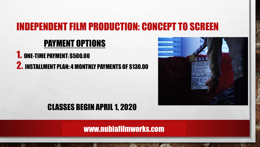#### PAYMENT OPTIONS

**1. ONE-TIME PAYMENT: \$500.00** 2. INSTALLMENT PLAN: 4 MONTHLY PAYMENTS OF \$130.00



#### CLASSES BEGIN APRIL 1, 2020

www.nubiafilmworks.com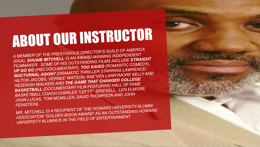# ABOUT OUR INSTRUCTOR

A MEMBER OF THE PRESTIGIOUS DIRECTOR'S GUILD OF AMERICA (DGA), SHUAIB MITCHELL IS AN AWARD-WINNING INDEPENDENT FILMMAKER. SOME OF HIS OUTSTANDING FILMS INCLUDE STRAIGHT UP GO GO (PBS DOCUMENTARY), TOO SAVED (ROMANTIC COMEDY), NOCTURNAL AGONY (DRAMATIC THRILLER STARRING LAWRENCE-HILTON JACOBS, VERNEE' WATSON, RAE'VEN LARRYMORE KELLY AND HEZEKIAH WALKER) AND THE GAME THAT CHANGED COLLEGE **BASKETBALL (DOCUMENTARY FILM FEATURING HALL OF FAME)** BASKETBALL COACH CHARLES "LEFTY" DRIESELL, LEN ELMORE, JOHN LUCAS, TOM MCMILLEN, DAVID THOMPSON AND JOHN **FEINSTEIN).** 

MR. MITCHELL IS A RECIPIENT OF THE HOWARD UNIVERSITY ALUMNI ASSOCIATION "GOLDEN BISON AWARD" AS AN OUTSTANDING HOWARD UNIVERSITY ALUMNUS IN THE FIELD OF ENTERTAINMENT